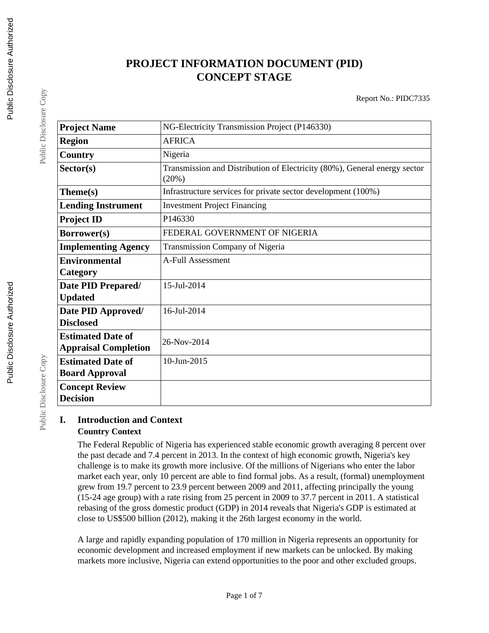### **PROJECT INFORMATION DOCUMENT (PID) CONCEPT STAGE**

Report No.: PIDC7335

| <b>Project Name</b>                                     | NG-Electricity Transmission Project (P146330)                                      |  |  |
|---------------------------------------------------------|------------------------------------------------------------------------------------|--|--|
| <b>Region</b>                                           | <b>AFRICA</b>                                                                      |  |  |
| Country                                                 | Nigeria                                                                            |  |  |
| Sector(s)                                               | Transmission and Distribution of Electricity (80%), General energy sector<br>(20%) |  |  |
| Theme(s)                                                | Infrastructure services for private sector development (100%)                      |  |  |
| <b>Lending Instrument</b>                               | <b>Investment Project Financing</b>                                                |  |  |
| <b>Project ID</b>                                       | P146330                                                                            |  |  |
| Borrower(s)                                             | FEDERAL GOVERNMENT OF NIGERIA                                                      |  |  |
| <b>Implementing Agency</b>                              | Transmission Company of Nigeria                                                    |  |  |
| <b>Environmental</b>                                    | <b>A-Full Assessment</b>                                                           |  |  |
| Category                                                |                                                                                    |  |  |
| Date PID Prepared/<br><b>Updated</b>                    | 15-Jul-2014                                                                        |  |  |
| Date PID Approved/<br><b>Disclosed</b>                  | $16$ -Jul-2014                                                                     |  |  |
| <b>Estimated Date of</b><br><b>Appraisal Completion</b> | 26-Nov-2014                                                                        |  |  |
| <b>Estimated Date of</b><br><b>Board Approval</b>       | 10-Jun-2015                                                                        |  |  |
| <b>Concept Review</b><br><b>Decision</b>                |                                                                                    |  |  |

#### **I. Introduction and Context Country Context**

The Federal Republic of Nigeria has experienced stable economic growth averaging 8 percent over the past decade and 7.4 percent in 2013. In the context of high economic growth, Nigeria's key challenge is to make its growth more inclusive. Of the millions of Nigerians who enter the labor market each year, only 10 percent are able to find formal jobs. As a result, (formal) unemployment grew from 19.7 percent to 23.9 percent between 2009 and 2011, affecting principally the young (15-24 age group) with a rate rising from 25 percent in 2009 to 37.7 percent in 2011. A statistical rebasing of the gross domestic product (GDP) in 2014 reveals that Nigeria's GDP is estimated at close to US\$500 billion (2012), making it the 26th largest economy in the world.

A large and rapidly expanding population of 170 million in Nigeria represents an opportunity for economic development and increased employment if new markets can be unlocked. By making markets more inclusive, Nigeria can extend opportunities to the poor and other excluded groups.

Public Disclosure Copy

Public Disclosure Copy

Public Disclosure Copy

Public Disclosure Copy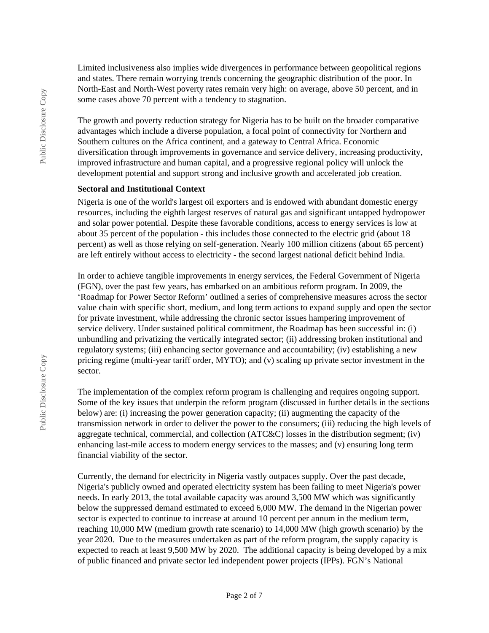Limited inclusiveness also implies wide divergences in performance between geopolitical regions and states. There remain worrying trends concerning the geographic distribution of the poor. In North-East and North-West poverty rates remain very high: on average, above 50 percent, and in some cases above 70 percent with a tendency to stagnation.

The growth and poverty reduction strategy for Nigeria has to be built on the broader comparative advantages which include a diverse population, a focal point of connectivity for Northern and Southern cultures on the Africa continent, and a gateway to Central Africa. Economic diversification through improvements in governance and service delivery, increasing productivity, improved infrastructure and human capital, and a progressive regional policy will unlock the development potential and support strong and inclusive growth and accelerated job creation.

#### **Sectoral and Institutional Context**

Nigeria is one of the world's largest oil exporters and is endowed with abundant domestic energy resources, including the eighth largest reserves of natural gas and significant untapped hydropower and solar power potential. Despite these favorable conditions, access to energy services is low at about 35 percent of the population - this includes those connected to the electric grid (about 18 percent) as well as those relying on self-generation. Nearly 100 million citizens (about 65 percent) are left entirely without access to electricity - the second largest national deficit behind India.

In order to achieve tangible improvements in energy services, the Federal Government of Nigeria (FGN), over the past few years, has embarked on an ambitious reform program. In 2009, the 'Roadmap for Power Sector Reform' outlined a series of comprehensive measures across the sector value chain with specific short, medium, and long term actions to expand supply and open the sector for private investment, while addressing the chronic sector issues hampering improvement of service delivery. Under sustained political commitment, the Roadmap has been successful in: (i) unbundling and privatizing the vertically integrated sector; (ii) addressing broken institutional and regulatory systems; (iii) enhancing sector governance and accountability; (iv) establishing a new pricing regime (multi-year tariff order, MYTO); and (v) scaling up private sector investment in the sector.

The implementation of the complex reform program is challenging and requires ongoing support. Some of the key issues that underpin the reform program (discussed in further details in the sections below) are: (i) increasing the power generation capacity; (ii) augmenting the capacity of the transmission network in order to deliver the power to the consumers; (iii) reducing the high levels of aggregate technical, commercial, and collection (ATC&C) losses in the distribution segment; (iv) enhancing last-mile access to modern energy services to the masses; and (v) ensuring long term financial viability of the sector.

Currently, the demand for electricity in Nigeria vastly outpaces supply. Over the past decade, Nigeria's publicly owned and operated electricity system has been failing to meet Nigeria's power needs. In early 2013, the total available capacity was around 3,500 MW which was significantly below the suppressed demand estimated to exceed 6,000 MW. The demand in the Nigerian power sector is expected to continue to increase at around 10 percent per annum in the medium term, reaching 10,000 MW (medium growth rate scenario) to 14,000 MW (high growth scenario) by the year 2020. Due to the measures undertaken as part of the reform program, the supply capacity is expected to reach at least 9,500 MW by 2020. The additional capacity is being developed by a mix of public financed and private sector led independent power projects (IPPs). FGN's National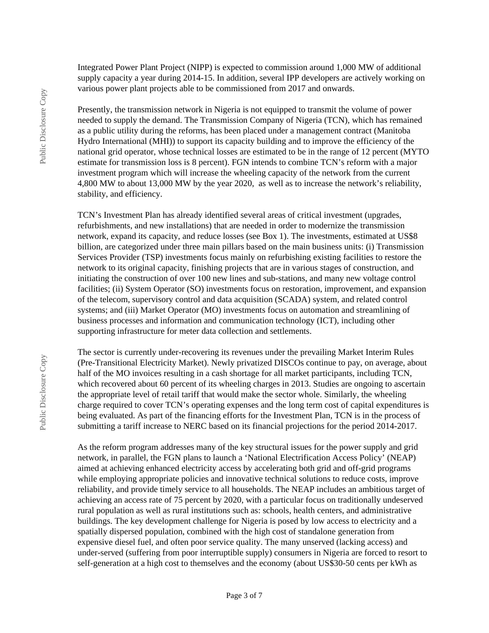Integrated Power Plant Project (NIPP) is expected to commission around 1,000 MW of additional supply capacity a year during 2014-15. In addition, several IPP developers are actively working on various power plant projects able to be commissioned from 2017 and onwards.

Presently, the transmission network in Nigeria is not equipped to transmit the volume of power needed to supply the demand. The Transmission Company of Nigeria (TCN), which has remained as a public utility during the reforms, has been placed under a management contract (Manitoba Hydro International (MHI)) to support its capacity building and to improve the efficiency of the national grid operator, whose technical losses are estimated to be in the range of 12 percent (MYTO estimate for transmission loss is 8 percent). FGN intends to combine TCN's reform with a major investment program which will increase the wheeling capacity of the network from the current 4,800 MW to about 13,000 MW by the year 2020, as well as to increase the network's reliability, stability, and efficiency.

TCN's Investment Plan has already identified several areas of critical investment (upgrades, refurbishments, and new installations) that are needed in order to modernize the transmission network, expand its capacity, and reduce losses (see Box 1). The investments, estimated at US\$8 billion, are categorized under three main pillars based on the main business units: (i) Transmission Services Provider (TSP) investments focus mainly on refurbishing existing facilities to restore the network to its original capacity, finishing projects that are in various stages of construction, and initiating the construction of over 100 new lines and sub-stations, and many new voltage control facilities; (ii) System Operator (SO) investments focus on restoration, improvement, and expansion of the telecom, supervisory control and data acquisition (SCADA) system, and related control systems; and (iii) Market Operator (MO) investments focus on automation and streamlining of business processes and information and communication technology (ICT), including other supporting infrastructure for meter data collection and settlements.

The sector is currently under-recovering its revenues under the prevailing Market Interim Rules (Pre-Transitional Electricity Market). Newly privatized DISCOs continue to pay, on average, about half of the MO invoices resulting in a cash shortage for all market participants, including TCN, which recovered about 60 percent of its wheeling charges in 2013. Studies are ongoing to ascertain the appropriate level of retail tariff that would make the sector whole. Similarly, the wheeling charge required to cover TCN's operating expenses and the long term cost of capital expenditures is being evaluated. As part of the financing efforts for the Investment Plan, TCN is in the process of submitting a tariff increase to NERC based on its financial projections for the period 2014-2017.

As the reform program addresses many of the key structural issues for the power supply and grid network, in parallel, the FGN plans to launch a 'National Electrification Access Policy' (NEAP) aimed at achieving enhanced electricity access by accelerating both grid and off-grid programs while employing appropriate policies and innovative technical solutions to reduce costs, improve reliability, and provide timely service to all households. The NEAP includes an ambitious target of achieving an access rate of 75 percent by 2020, with a particular focus on traditionally undeserved rural population as well as rural institutions such as: schools, health centers, and administrative buildings. The key development challenge for Nigeria is posed by low access to electricity and a spatially dispersed population, combined with the high cost of standalone generation from expensive diesel fuel, and often poor service quality. The many unserved (lacking access) and under-served (suffering from poor interruptible supply) consumers in Nigeria are forced to resort to self-generation at a high cost to themselves and the economy (about US\$30-50 cents per kWh as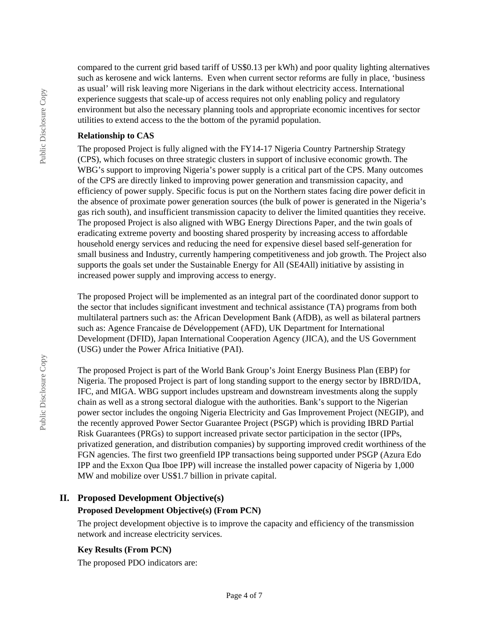compared to the current grid based tariff of US\$0.13 per kWh) and poor quality lighting alternatives such as kerosene and wick lanterns. Even when current sector reforms are fully in place, 'business as usual' will risk leaving more Nigerians in the dark without electricity access. International experience suggests that scale-up of access requires not only enabling policy and regulatory environment but also the necessary planning tools and appropriate economic incentives for sector utilities to extend access to the the bottom of the pyramid population.

#### **Relationship to CAS**

The proposed Project is fully aligned with the FY14-17 Nigeria Country Partnership Strategy (CPS), which focuses on three strategic clusters in support of inclusive economic growth. The WBG's support to improving Nigeria's power supply is a critical part of the CPS. Many outcomes of the CPS are directly linked to improving power generation and transmission capacity, and efficiency of power supply. Specific focus is put on the Northern states facing dire power deficit in the absence of proximate power generation sources (the bulk of power is generated in the Nigeria's gas rich south), and insufficient transmission capacity to deliver the limited quantities they receive. The proposed Project is also aligned with WBG Energy Directions Paper, and the twin goals of eradicating extreme poverty and boosting shared prosperity by increasing access to affordable household energy services and reducing the need for expensive diesel based self-generation for small business and Industry, currently hampering competitiveness and job growth. The Project also supports the goals set under the Sustainable Energy for All (SE4All) initiative by assisting in increased power supply and improving access to energy.

The proposed Project will be implemented as an integral part of the coordinated donor support to the sector that includes significant investment and technical assistance (TA) programs from both multilateral partners such as: the African Development Bank (AfDB), as well as bilateral partners such as: Agence Francaise de Développement (AFD), UK Department for International Development (DFID), Japan International Cooperation Agency (JICA), and the US Government (USG) under the Power Africa Initiative (PAI).

The proposed Project is part of the World Bank Group's Joint Energy Business Plan (EBP) for Nigeria. The proposed Project is part of long standing support to the energy sector by IBRD/IDA, IFC, and MIGA. WBG support includes upstream and downstream investments along the supply chain as well as a strong sectoral dialogue with the authorities. Bank's support to the Nigerian power sector includes the ongoing Nigeria Electricity and Gas Improvement Project (NEGIP), and the recently approved Power Sector Guarantee Project (PSGP) which is providing IBRD Partial Risk Guarantees (PRGs) to support increased private sector participation in the sector (IPPs, privatized generation, and distribution companies) by supporting improved credit worthiness of the FGN agencies. The first two greenfield IPP transactions being supported under PSGP (Azura Edo IPP and the Exxon Qua Iboe IPP) will increase the installed power capacity of Nigeria by 1,000 MW and mobilize over US\$1.7 billion in private capital.

## **II. Proposed Development Objective(s)**

## **Proposed Development Objective(s) (From PCN)**

The project development objective is to improve the capacity and efficiency of the transmission network and increase electricity services.

#### **Key Results (From PCN)**

The proposed PDO indicators are: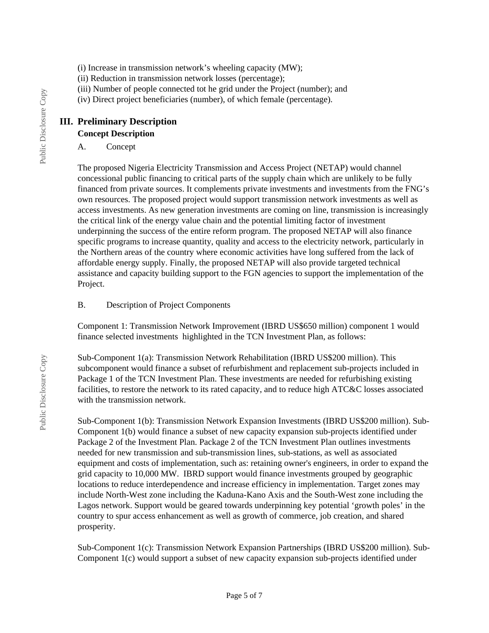- (i) Increase in transmission network's wheeling capacity (MW);
- (ii) Reduction in transmission network losses (percentage);
- (iii) Number of people connected tot he grid under the Project (number); and
- (iv) Direct project beneficiaries (number), of which female (percentage).

#### **III. Preliminary Description**

#### **Concept Description**

A. Concept

The proposed Nigeria Electricity Transmission and Access Project (NETAP) would channel concessional public financing to critical parts of the supply chain which are unlikely to be fully financed from private sources. It complements private investments and investments from the FNG's own resources. The proposed project would support transmission network investments as well as access investments. As new generation investments are coming on line, transmission is increasingly the critical link of the energy value chain and the potential limiting factor of investment underpinning the success of the entire reform program. The proposed NETAP will also finance specific programs to increase quantity, quality and access to the electricity network, particularly in the Northern areas of the country where economic activities have long suffered from the lack of affordable energy supply. Finally, the proposed NETAP will also provide targeted technical assistance and capacity building support to the FGN agencies to support the implementation of the Project.

#### B. Description of Project Components

Component 1: Transmission Network Improvement (IBRD US\$650 million) component 1 would finance selected investments highlighted in the TCN Investment Plan, as follows:

Sub-Component 1(a): Transmission Network Rehabilitation (IBRD US\$200 million). This subcomponent would finance a subset of refurbishment and replacement sub-projects included in Package 1 of the TCN Investment Plan. These investments are needed for refurbishing existing facilities, to restore the network to its rated capacity, and to reduce high ATC&C losses associated with the transmission network.

Sub-Component 1(b): Transmission Network Expansion Investments (IBRD US\$200 million). Sub-Component 1(b) would finance a subset of new capacity expansion sub-projects identified under Package 2 of the Investment Plan. Package 2 of the TCN Investment Plan outlines investments needed for new transmission and sub-transmission lines, sub-stations, as well as associated equipment and costs of implementation, such as: retaining owner's engineers, in order to expand the grid capacity to 10,000 MW. IBRD support would finance investments grouped by geographic locations to reduce interdependence and increase efficiency in implementation. Target zones may include North-West zone including the Kaduna-Kano Axis and the South-West zone including the Lagos network. Support would be geared towards underpinning key potential 'growth poles' in the country to spur access enhancement as well as growth of commerce, job creation, and shared prosperity.

Sub-Component 1(c): Transmission Network Expansion Partnerships (IBRD US\$200 million). Sub-Component 1(c) would support a subset of new capacity expansion sub-projects identified under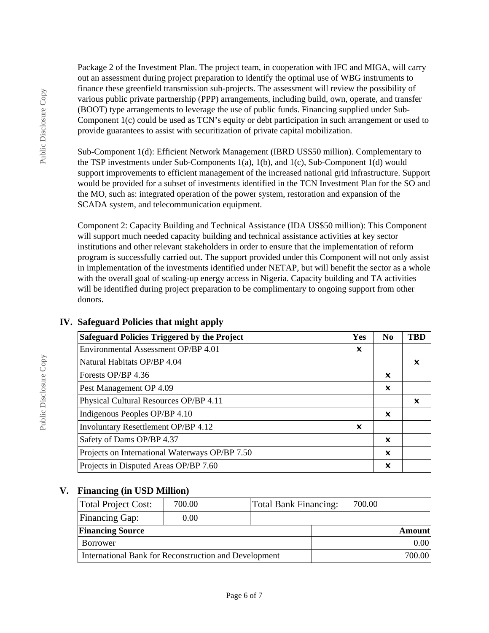Package 2 of the Investment Plan. The project team, in cooperation with IFC and MIGA, will carry out an assessment during project preparation to identify the optimal use of WBG instruments to finance these greenfield transmission sub-projects. The assessment will review the possibility of various public private partnership (PPP) arrangements, including build, own, operate, and transfer (BOOT) type arrangements to leverage the use of public funds. Financing supplied under Sub-Component 1(c) could be used as TCN's equity or debt participation in such arrangement or used to provide guarantees to assist with securitization of private capital mobilization.

Sub-Component 1(d): Efficient Network Management (IBRD US\$50 million). Complementary to the TSP investments under Sub-Components 1(a), 1(b), and 1(c), Sub-Component 1(d) would support improvements to efficient management of the increased national grid infrastructure. Support would be provided for a subset of investments identified in the TCN Investment Plan for the SO and the MO, such as: integrated operation of the power system, restoration and expansion of the SCADA system, and telecommunication equipment.

Component 2: Capacity Building and Technical Assistance (IDA US\$50 million): This Component will support much needed capacity building and technical assistance activities at key sector institutions and other relevant stakeholders in order to ensure that the implementation of reform program is successfully carried out. The support provided under this Component will not only assist in implementation of the investments identified under NETAP, but will benefit the sector as a whole with the overall goal of scaling-up energy access in Nigeria. Capacity building and TA activities will be identified during project preparation to be complimentary to ongoing support from other donors.

| <b>Safeguard Policies Triggered by the Project</b> | Yes | N <sub>0</sub>            | <b>TBD</b> |
|----------------------------------------------------|-----|---------------------------|------------|
| Environmental Assessment OP/BP 4.01                | x   |                           |            |
| Natural Habitats OP/BP 4.04                        |     |                           | x          |
| Forests OP/BP 4.36                                 |     | $\boldsymbol{\mathsf{x}}$ |            |
| Pest Management OP 4.09                            |     | ×                         |            |
| Physical Cultural Resources OP/BP 4.11             |     |                           | x          |
| Indigenous Peoples OP/BP 4.10                      |     | $\boldsymbol{\mathsf{x}}$ |            |
| Involuntary Resettlement OP/BP 4.12                | X   |                           |            |
| Safety of Dams OP/BP 4.37                          |     | X                         |            |
| Projects on International Waterways OP/BP 7.50     |     | X                         |            |
| Projects in Disputed Areas OP/BP 7.60              |     | x                         |            |

#### **IV. Safeguard Policies that might apply**

#### **V. Financing (in USD Million)**

| Total Project Cost:                                   | 700.00 | Total Bank Financing: | 700.00 |               |
|-------------------------------------------------------|--------|-----------------------|--------|---------------|
| <b>Financing Gap:</b>                                 | 0.00   |                       |        |               |
| <b>Financing Source</b>                               |        |                       |        | <b>Amount</b> |
| Borrower                                              |        |                       |        | 0.00          |
| International Bank for Reconstruction and Development |        |                       |        | 700.00        |